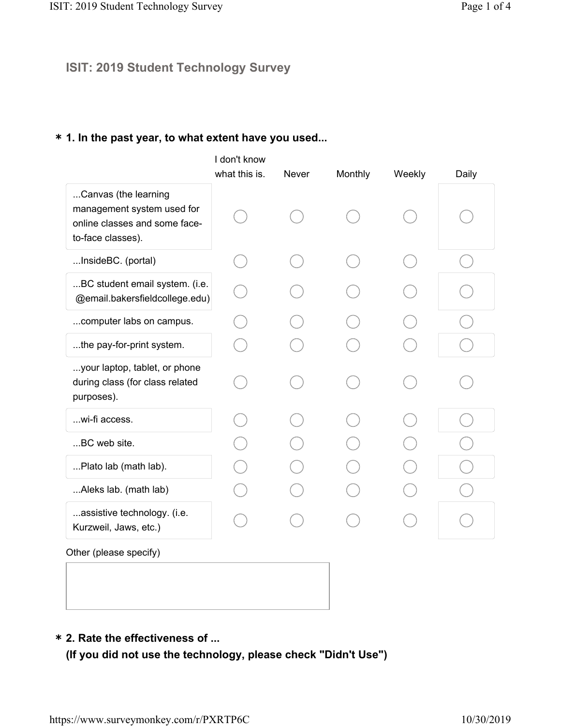# ISIT: 2019 Student Technology Survey

## \* 1. In the past year, to what extent have you used...

|                                                                                                          | I don't know<br>what this is. | Never | Monthly | Weekly | Daily |
|----------------------------------------------------------------------------------------------------------|-------------------------------|-------|---------|--------|-------|
| Canvas (the learning<br>management system used for<br>online classes and some face-<br>to-face classes). |                               |       |         |        |       |
| InsideBC. (portal)                                                                                       |                               |       |         |        |       |
| BC student email system. (i.e.<br>@email.bakersfieldcollege.edu)                                         |                               |       |         |        |       |
| computer labs on campus.                                                                                 |                               |       |         |        |       |
| the pay-for-print system.                                                                                |                               |       |         |        |       |
| your laptop, tablet, or phone<br>during class (for class related<br>purposes).                           |                               |       |         |        |       |
| wi-fi access.                                                                                            |                               |       |         |        |       |
| BC web site.                                                                                             |                               |       |         |        |       |
| Plato lab (math lab).                                                                                    |                               |       |         |        |       |
| Aleks lab. (math lab)                                                                                    |                               |       |         |        |       |
| assistive technology. (i.e.<br>Kurzweil, Jaws, etc.)                                                     |                               |       |         |        |       |
| Other (please specify)                                                                                   |                               |       |         |        |       |

#### 2. Rate the effectiveness of ... \*

(If you did not use the technology, please check "Didn't Use")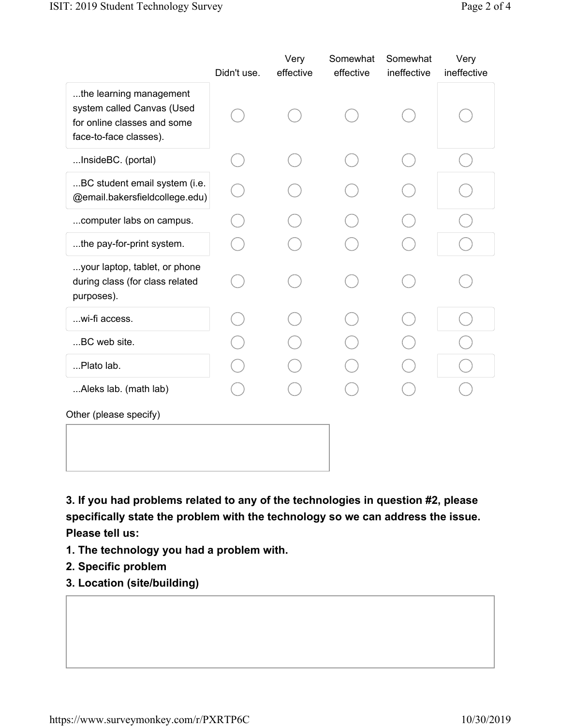|                                                                                                                | Didn't use. | Very<br>effective | Somewhat<br>effective | Somewhat<br>ineffective | Very<br>ineffective |
|----------------------------------------------------------------------------------------------------------------|-------------|-------------------|-----------------------|-------------------------|---------------------|
| the learning management<br>system called Canvas (Used<br>for online classes and some<br>face-to-face classes). |             |                   |                       |                         |                     |
| InsideBC. (portal)                                                                                             |             |                   |                       |                         |                     |
| BC student email system (i.e.<br>@email.bakersfieldcollege.edu)                                                |             |                   |                       |                         |                     |
| computer labs on campus.                                                                                       |             |                   |                       |                         |                     |
| the pay-for-print system.                                                                                      |             |                   |                       |                         |                     |
| your laptop, tablet, or phone<br>during class (for class related<br>purposes).                                 |             |                   |                       |                         |                     |
| wi-fi access.                                                                                                  |             |                   |                       |                         |                     |
| BC web site.                                                                                                   |             |                   |                       |                         |                     |
| Plato lab.                                                                                                     |             |                   |                       |                         |                     |
| Aleks lab. (math lab)                                                                                          |             |                   |                       |                         |                     |
| Other (please specify)                                                                                         |             |                   |                       |                         |                     |
|                                                                                                                |             |                   |                       |                         |                     |

3. If you had problems related to any of the technologies in question #2, please specifically state the problem with the technology so we can address the issue. Please tell us:

- 1. The technology you had a problem with.
- 2. Specific problem
- 3. Location (site/building)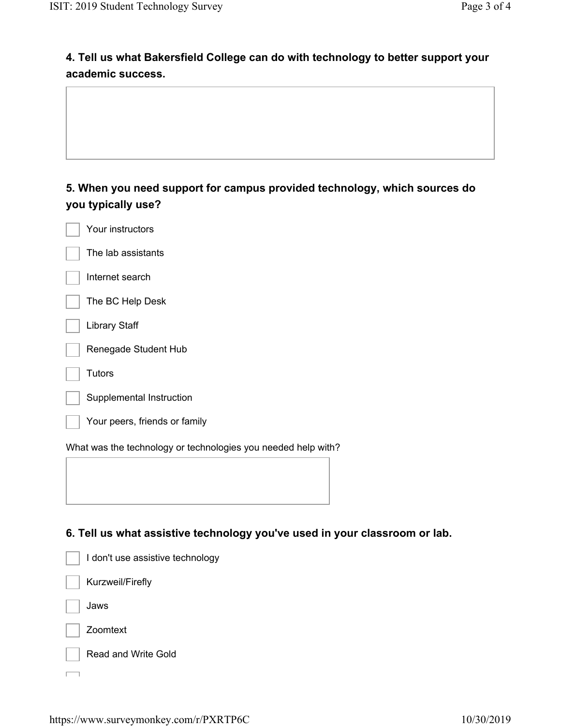## 4. Tell us what Bakersfield College can do with technology to better support your academic success.

### 5. When you need support for campus provided technology, which sources do you typically use?

| Your instructors                                              |
|---------------------------------------------------------------|
| The lab assistants                                            |
| Internet search                                               |
| The BC Help Desk                                              |
| <b>Library Staff</b>                                          |
| Renegade Student Hub                                          |
| Tutors                                                        |
| Supplemental Instruction                                      |
| Your peers, friends or family                                 |
| What was the technology or technologies you needed help with? |

#### 6. Tell us what assistive technology you've used in your classroom or lab.

| I don't use assistive technology |
|----------------------------------|
| Kurzweil/Firefly                 |
| Jaws                             |
| Zoomtext                         |
| <b>Read and Write Gold</b>       |
|                                  |